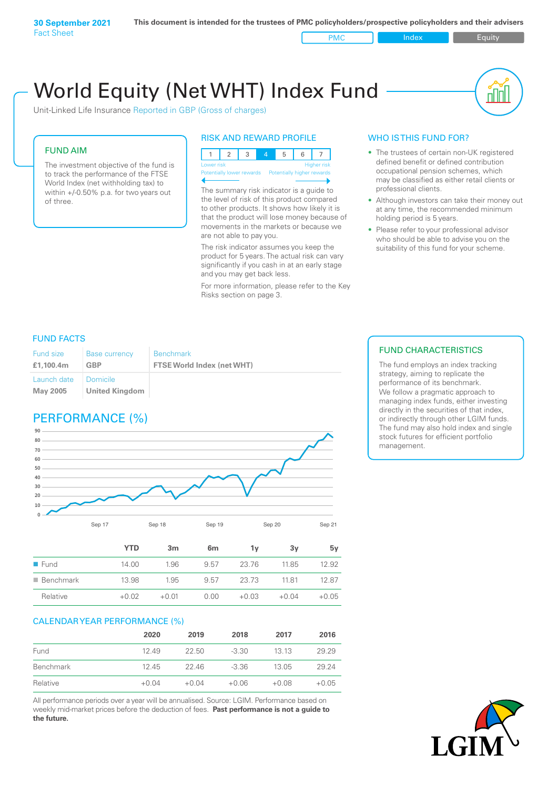World Equity (Net WHT) Index Fund пIП Unit-Linked Life Insurance Reported in GBP (Gross of charges)

### FUND AIM

The investment objective of the fund is to track the performance of the FTSE World Index (net withholding tax) to within +/-0.50% p.a. for two years out of three.

### RISK AND REWARD PROFILE

123 4 5 6 7 **High** Potentially lower rewards Potentially higher rewards

The summary risk indicator is a guide to the level of risk of this product compared to other products. It shows how likely it is that the product will lose money because of movements in the markets or because we are not able to pay you.

The risk indicator assumes you keep the product for 5 years. The actual risk can vary significantly if you cash in at an early stage and you may get back less.

For more information, please refer to the Key Risks section on page 3.

## WHO IS THIS FUND FOR?

- The trustees of certain non-UK registered defined benefit or defined contribution occupational pension schemes, which may be classified as either retail clients or professional clients.
- Although investors can take their money out at any time, the recommended minimum holding period is 5 years.
- Please refer to your professional advisor who should be able to advise you on the suitability of this fund for your scheme.

## FUND FACTS

| Fund size<br>£1.100.4m | <b>Base currency</b><br>GBP | <b>Benchmark</b><br><b>FTSE World Index (net WHT)</b> |
|------------------------|-----------------------------|-------------------------------------------------------|
| Launch date            | <b>Domicile</b>             |                                                       |
| Mav 2005               | <b>United Kingdom</b>       |                                                       |

# PERFORMANCE (%)



|                          | YTD     | 3 <sub>m</sub> | 6 <sub>m</sub> | 1۷      | 3v      | 5v      |
|--------------------------|---------|----------------|----------------|---------|---------|---------|
| $\blacksquare$ Fund      | 14.00   | 1.96           | 9.57           | 23.76   | 1185    | 12.92   |
| $\blacksquare$ Benchmark | 13.98   | 1.95           | 9.57           | 23.73   | 1181    | 1287    |
| Relative                 | $+0.02$ | $+0.01$        | 0.00           | $+0.03$ | $+0.04$ | $+0.05$ |
|                          |         |                |                |         |         |         |

### CALENDAR YEAR PERFORMANCE (%)

|           | 2020    | 2019    | 2018    | 2017    | 2016    |
|-----------|---------|---------|---------|---------|---------|
| Fund      | 12.49   | 22.50   | $-3.30$ | 13.13   | 29.29   |
| Benchmark | 1245    | 22.46   | -3.36   | 13.05   | 29.24   |
| Relative  | $+0.04$ | $+0.04$ | $+0.06$ | $+0.08$ | $+0.05$ |

All performance periods over a year will be annualised. Source: LGIM. Performance based on weekly mid-market prices before the deduction of fees. **Past performance is not a guide to the future.**

## FUND CHARACTERISTICS

The fund employs an index tracking strategy, aiming to replicate the performance of its benchmark. We follow a pragmatic approach to managing index funds, either investing directly in the securities of that index, or indirectly through other LGIM funds. The fund may also hold index and single stock futures for efficient portfolio management.

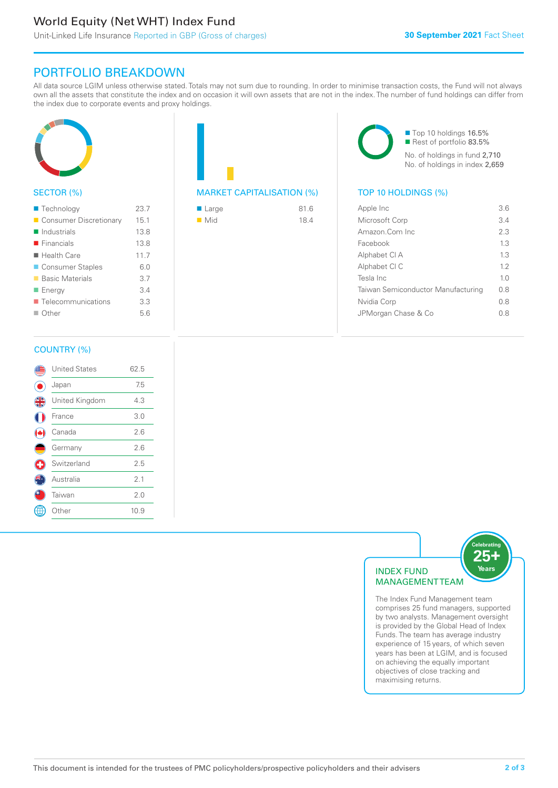# World Equity (Net WHT) Index Fund

# PORTFOLIO BREAKDOWN

All data source LGIM unless otherwise stated. Totals may not sum due to rounding. In order to minimise transaction costs, the Fund will not always own all the assets that constitute the index and on occasion it will own assets that are not in the index. The number of fund holdings can differ from the index due to corporate events and proxy holdings.



# SECTOR (%)

| ■ Technology               | 23.7 |
|----------------------------|------|
| Consumer Discretionary     | 15.1 |
| $\blacksquare$ Industrials | 13.8 |
| $\blacksquare$ Financials  | 13.8 |
| ■ Health Care              | 11.7 |
| ■ Consumer Staples         | 6.0  |
| ■ Basic Materials          | 3.7  |
| ■ Energy                   | 3.4  |
| ■ Telecommunications       | 3.3  |
| $\Box$ Other               | 5.6  |
|                            |      |

# MARKET CAPITALISATION (%) TOP 10 HOLDINGS (%)

| $\blacksquare$ Large | 81.6 |
|----------------------|------|
| $\blacksquare$ Mid   | 18.4 |

■ Top 10 holdings 16.5% Rest of portfolio 83.5% No. of holdings in fund 2,710 No. of holdings in index 2,659

| Apple Inc                          | 36             |
|------------------------------------|----------------|
| Microsoft Corp                     | 34             |
| Amazon.Com Inc                     | 23             |
| Facebook                           | 13             |
| Alphabet CI A                      | 13             |
| Alphabet CI C                      | 12             |
| Tesla Inc                          | 1 <sub>0</sub> |
| Taiwan Semiconductor Manufacturing | 0 S            |
| Nvidia Corp                        | 0 S            |
| JPMorgan Chase & Co                | 0 S            |
|                                    |                |

### COUNTRY (%)

|          | <b>United States</b> | 62.5 |  |
|----------|----------------------|------|--|
|          | Japan                | 7.5  |  |
| <b>4</b> | United Kingdom       | 4.3  |  |
|          | France               | 3.0  |  |
|          | Canada               | 2.6  |  |
|          | Germany              | 2.6  |  |
|          | Switzerland          | 2.5  |  |
|          | Australia            | 2.1  |  |
|          | Taiwan               | 2.0  |  |
|          | Other                | 10.9 |  |
|          |                      |      |  |



comprises 25 fund managers, supported by two analysts. Management oversight is provided by the Global Head of Index Funds. The team has average industry experience of 15 years, of which seven years has been at LGIM, and is focused on achieving the equally important objectives of close tracking and maximising returns.